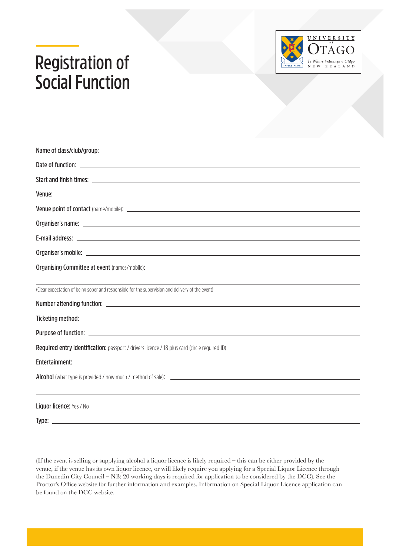## **Registration of Social Function**



| (Clear expectation of being sober and responsible for the supervision and delivery of the event)                                                                                                                                     |  |  |
|--------------------------------------------------------------------------------------------------------------------------------------------------------------------------------------------------------------------------------------|--|--|
|                                                                                                                                                                                                                                      |  |  |
|                                                                                                                                                                                                                                      |  |  |
| Purpose of function: <b>All any of the Contract Contract Contract Contract Contract Contract Contract Contract Contract Contract Contract Contract Contract Contract Contract Contract Contract Contract Contract Contract Contr</b> |  |  |
| Required entry identification: passport / drivers licence / 18 plus card (circle required ID)                                                                                                                                        |  |  |
|                                                                                                                                                                                                                                      |  |  |
|                                                                                                                                                                                                                                      |  |  |
|                                                                                                                                                                                                                                      |  |  |
| <b>Liquor licence: Yes / No</b>                                                                                                                                                                                                      |  |  |

**Type:**

(If the event is selling or supplying alcohol a liquor licence is likely required – this can be either provided by the venue, if the venue has its own liquor licence, or will likely require you applying for a Special Liquor Licence through the Dunedin City Council – NB: 20 working days is required for application to be considered by the DCC). See the Proctor's Office website for further information and examples. Information on Special Liquor Licence application can be found on the DCC website.